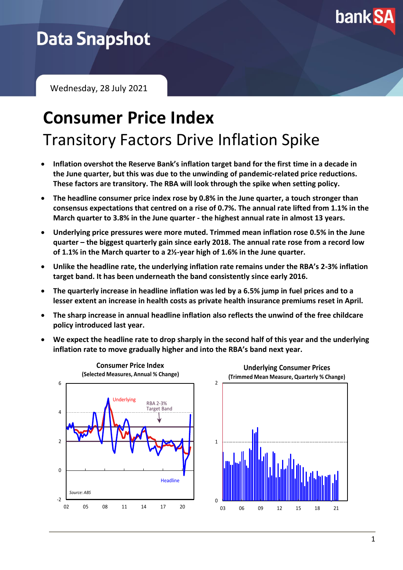

# **Data Snapshot**

Wednesday, 28 July 2021

# **Consumer Price Index** Transitory Factors Drive Inflation Spike

- **Inflation overshot the Reserve Bank's inflation target band for the first time in a decade in the June quarter, but this was due to the unwinding of pandemic-related price reductions. These factors are transitory. The RBA will look through the spike when setting policy.**
- **The headline consumer price index rose by 0.8% in the June quarter, a touch stronger than consensus expectations that centred on a rise of 0.7%. The annual rate lifted from 1.1% in the March quarter to 3.8% in the June quarter - the highest annual rate in almost 13 years.**
- **Underlying price pressures were more muted. Trimmed mean inflation rose 0.5% in the June quarter – the biggest quarterly gain since early 2018. The annual rate rose from a record low of 1.1% in the March quarter to a 2½-year high of 1.6% in the June quarter.**
- **Unlike the headline rate, the underlying inflation rate remains under the RBA's 2-3% inflation target band. It has been underneath the band consistently since early 2016.**
- **The quarterly increase in headline inflation was led by a 6.5% jump in fuel prices and to a lesser extent an increase in health costs as private health insurance premiums reset in April.**
- **The sharp increase in annual headline inflation also reflects the unwind of the free childcare policy introduced last year.**
- **We expect the headline rate to drop sharply in the second half of this year and the underlying inflation rate to move gradually higher and into the RBA's band next year.**

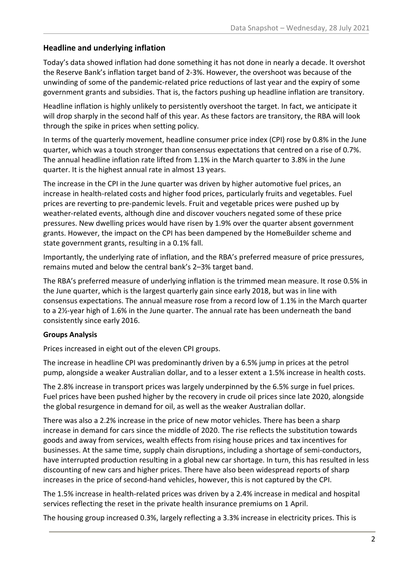### **Headline and underlying inflation**

Today's data showed inflation had done something it has not done in nearly a decade. It overshot the Reserve Bank's inflation target band of 2-3%. However, the overshoot was because of the unwinding of some of the pandemic-related price reductions of last year and the expiry of some government grants and subsidies. That is, the factors pushing up headline inflation are transitory.

Headline inflation is highly unlikely to persistently overshoot the target. In fact, we anticipate it will drop sharply in the second half of this year. As these factors are transitory, the RBA will look through the spike in prices when setting policy.

In terms of the quarterly movement, headline consumer price index (CPI) rose by 0.8% in the June quarter, which was a touch stronger than consensus expectations that centred on a rise of 0.7%. The annual headline inflation rate lifted from 1.1% in the March quarter to 3.8% in the June quarter. It is the highest annual rate in almost 13 years.

The increase in the CPI in the June quarter was driven by higher automotive fuel prices, an increase in health-related costs and higher food prices, particularly fruits and vegetables. Fuel prices are reverting to pre-pandemic levels. Fruit and vegetable prices were pushed up by weather-related events, although dine and discover vouchers negated some of these price pressures. New dwelling prices would have risen by 1.9% over the quarter absent government grants. However, the impact on the CPI has been dampened by the HomeBuilder scheme and state government grants, resulting in a 0.1% fall.

Importantly, the underlying rate of inflation, and the RBA's preferred measure of price pressures, remains muted and below the central bank's 2–3% target band.

The RBA's preferred measure of underlying inflation is the trimmed mean measure. It rose 0.5% in the June quarter, which is the largest quarterly gain since early 2018, but was in line with consensus expectations. The annual measure rose from a record low of 1.1% in the March quarter to a 2½-year high of 1.6% in the June quarter. The annual rate has been underneath the band consistently since early 2016.

### **Groups Analysis**

Prices increased in eight out of the eleven CPI groups.

The increase in headline CPI was predominantly driven by a 6.5% jump in prices at the petrol pump, alongside a weaker Australian dollar, and to a lesser extent a 1.5% increase in health costs.

The 2.8% increase in transport prices was largely underpinned by the 6.5% surge in fuel prices. Fuel prices have been pushed higher by the recovery in crude oil prices since late 2020, alongside the global resurgence in demand for oil, as well as the weaker Australian dollar.

There was also a 2.2% increase in the price of new motor vehicles. There has been a sharp increase in demand for cars since the middle of 2020. The rise reflects the substitution towards goods and away from services, wealth effects from rising house prices and tax incentives for businesses. At the same time, supply chain disruptions, including a shortage of semi-conductors, have interrupted production resulting in a global new car shortage. In turn, this has resulted in less discounting of new cars and higher prices. There have also been widespread reports of sharp increases in the price of second-hand vehicles, however, this is not captured by the CPI.

The 1.5% increase in health-related prices was driven by a 2.4% increase in medical and hospital services reflecting the reset in the private health insurance premiums on 1 April.

The housing group increased 0.3%, largely reflecting a 3.3% increase in electricity prices. This is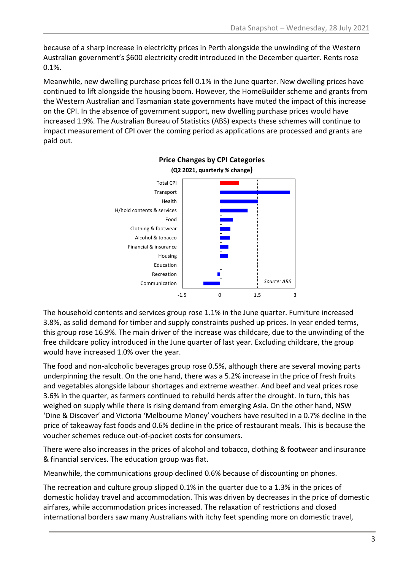because of a sharp increase in electricity prices in Perth alongside the unwinding of the Western Australian government's \$600 electricity credit introduced in the December quarter. Rents rose 0.1%.

Meanwhile, new dwelling purchase prices fell 0.1% in the June quarter. New dwelling prices have continued to lift alongside the housing boom. However, the HomeBuilder scheme and grants from the Western Australian and Tasmanian state governments have muted the impact of this increase on the CPI. In the absence of government support, new dwelling purchase prices would have increased 1.9%. The Australian Bureau of Statistics (ABS) expects these schemes will continue to impact measurement of CPI over the coming period as applications are processed and grants are paid out.



#### **Price Changes by CPI Categories (Q2 2021, quarterly % change)**

The household contents and services group rose 1.1% in the June quarter. Furniture increased 3.8%, as solid demand for timber and supply constraints pushed up prices. In year ended terms, this group rose 16.9%. The main driver of the increase was childcare, due to the unwinding of the free childcare policy introduced in the June quarter of last year. Excluding childcare, the group would have increased 1.0% over the year.

The food and non-alcoholic beverages group rose 0.5%, although there are several moving parts underpinning the result. On the one hand, there was a 5.2% increase in the price of fresh fruits and vegetables alongside labour shortages and extreme weather. And beef and veal prices rose 3.6% in the quarter, as farmers continued to rebuild herds after the drought. In turn, this has weighed on supply while there is rising demand from emerging Asia. On the other hand, NSW 'Dine & Discover' and Victoria 'Melbourne Money' vouchers have resulted in a 0.7% decline in the price of takeaway fast foods and 0.6% decline in the price of restaurant meals. This is because the voucher schemes reduce out-of-pocket costs for consumers.

There were also increases in the prices of alcohol and tobacco, clothing & footwear and insurance & financial services. The education group was flat.

Meanwhile, the communications group declined 0.6% because of discounting on phones.

The recreation and culture group slipped 0.1% in the quarter due to a 1.3% in the prices of domestic holiday travel and accommodation. This was driven by decreases in the price of domestic airfares, while accommodation prices increased. The relaxation of restrictions and closed international borders saw many Australians with itchy feet spending more on domestic travel,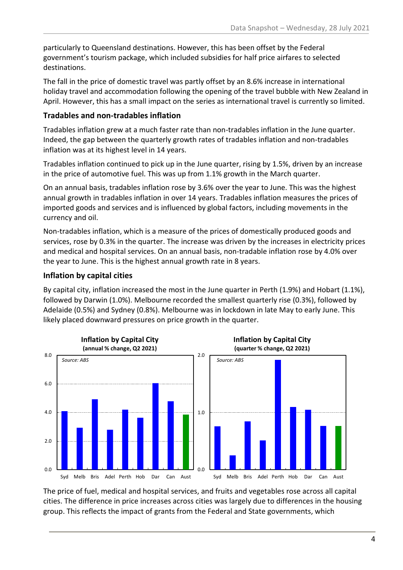particularly to Queensland destinations. However, this has been offset by the Federal government's tourism package, which included subsidies for half price airfares to selected destinations.

The fall in the price of domestic travel was partly offset by an 8.6% increase in international holiday travel and accommodation following the opening of the travel bubble with New Zealand in April. However, this has a small impact on the series as international travel is currently so limited.

### **Tradables and non-tradables inflation**

Tradables inflation grew at a much faster rate than non-tradables inflation in the June quarter. Indeed, the gap between the quarterly growth rates of tradables inflation and non-tradables inflation was at its highest level in 14 years.

Tradables inflation continued to pick up in the June quarter, rising by 1.5%, driven by an increase in the price of automotive fuel. This was up from 1.1% growth in the March quarter.

On an annual basis, tradables inflation rose by 3.6% over the year to June. This was the highest annual growth in tradables inflation in over 14 years. Tradables inflation measures the prices of imported goods and services and is influenced by global factors, including movements in the currency and oil.

Non-tradables inflation, which is a measure of the prices of domestically produced goods and services, rose by 0.3% in the quarter. The increase was driven by the increases in electricity prices and medical and hospital services. On an annual basis, non-tradable inflation rose by 4.0% over the year to June. This is the highest annual growth rate in 8 years.

## **Inflation by capital cities**

By capital city, inflation increased the most in the June quarter in Perth (1.9%) and Hobart (1.1%), followed by Darwin (1.0%). Melbourne recorded the smallest quarterly rise (0.3%), followed by Adelaide (0.5%) and Sydney (0.8%). Melbourne was in lockdown in late May to early June. This likely placed downward pressures on price growth in the quarter.



The price of fuel, medical and hospital services, and fruits and vegetables rose across all capital cities. The difference in price increases across cities was largely due to differences in the housing group. This reflects the impact of grants from the Federal and State governments, which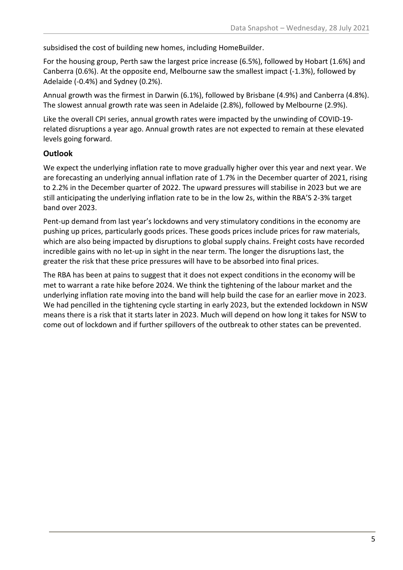subsidised the cost of building new homes, including HomeBuilder.

For the housing group, Perth saw the largest price increase (6.5%), followed by Hobart (1.6%) and Canberra (0.6%). At the opposite end, Melbourne saw the smallest impact (-1.3%), followed by Adelaide (-0.4%) and Sydney (0.2%).

Annual growth was the firmest in Darwin (6.1%), followed by Brisbane (4.9%) and Canberra (4.8%). The slowest annual growth rate was seen in Adelaide (2.8%), followed by Melbourne (2.9%).

Like the overall CPI series, annual growth rates were impacted by the unwinding of COVID-19 related disruptions a year ago. Annual growth rates are not expected to remain at these elevated levels going forward.

## **Outlook**

We expect the underlying inflation rate to move gradually higher over this year and next year. We are forecasting an underlying annual inflation rate of 1.7% in the December quarter of 2021, rising to 2.2% in the December quarter of 2022. The upward pressures will stabilise in 2023 but we are still anticipating the underlying inflation rate to be in the low 2s, within the RBA'S 2-3% target band over 2023.

Pent-up demand from last year's lockdowns and very stimulatory conditions in the economy are pushing up prices, particularly goods prices. These goods prices include prices for raw materials, which are also being impacted by disruptions to global supply chains. Freight costs have recorded incredible gains with no let-up in sight in the near term. The longer the disruptions last, the greater the risk that these price pressures will have to be absorbed into final prices.

The RBA has been at pains to suggest that it does not expect conditions in the economy will be met to warrant a rate hike before 2024. We think the tightening of the labour market and the underlying inflation rate moving into the band will help build the case for an earlier move in 2023. We had pencilled in the tightening cycle starting in early 2023, but the extended lockdown in NSW means there is a risk that it starts later in 2023. Much will depend on how long it takes for NSW to come out of lockdown and if further spillovers of the outbreak to other states can be prevented.